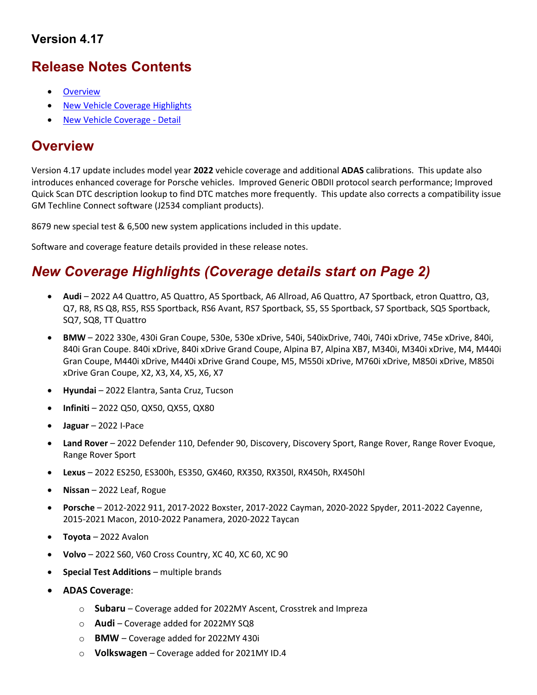# Version 4.17

# Release Notes Contents

- **Overview**
- New Vehicle Coverage Highlights
- New Vehicle Coverage Detail

# **Overview**

Version 4.17 update includes model year 2022 vehicle coverage and additional ADAS calibrations. This update also introduces enhanced coverage for Porsche vehicles. Improved Generic OBDII protocol search performance; Improved Quick Scan DTC description lookup to find DTC matches more frequently. This update also corrects a compatibility issue GM Techline Connect software (J2534 compliant products).

8679 new special test & 6,500 new system applications included in this update.

Software and coverage feature details provided in these release notes.

# New Coverage Highlights (Coverage details start on Page 2)

- Audi 2022 A4 Quattro, A5 Quattro, A5 Sportback, A6 Allroad, A6 Quattro, A7 Sportback, etron Quattro, Q3, Q7, R8, RS Q8, RS5, RS5 Sportback, RS6 Avant, RS7 Sportback, S5, S5 Sportback, S7 Sportback, SQ5 Sportback, SQ7, SQ8, TT Quattro
- BMW 2022 330e, 430i Gran Coupe, 530e, 530e xDrive, 540i, 540ixDrive, 740i, 740i xDrive, 745e xDrive, 840i, 840i Gran Coupe. 840i xDrive, 840i xDrive Grand Coupe, Alpina B7, Alpina XB7, M340i, M340i xDrive, M4, M440i Gran Coupe, M440i xDrive, M440i xDrive Grand Coupe, M5, M550i xDrive, M760i xDrive, M850i xDrive, M850i xDrive Gran Coupe, X2, X3, X4, X5, X6, X7
- Hyundai 2022 Elantra, Santa Cruz, Tucson
- Infiniti 2022 Q50, QX50, QX55, QX80
- Jaguar 2022 I-Pace
- Land Rover 2022 Defender 110, Defender 90, Discovery, Discovery Sport, Range Rover, Range Rover Evoque, Range Rover Sport
- Lexus 2022 ES250, ES300h, ES350, GX460, RX350, RX350l, RX450h, RX450hl
- Nissan 2022 Leaf, Rogue
- Porsche 2012-2022 911, 2017-2022 Boxster, 2017-2022 Cayman, 2020-2022 Spyder, 2011-2022 Cayenne, 2015-2021 Macon, 2010-2022 Panamera, 2020-2022 Taycan
- Toyota 2022 Avalon
- Volvo 2022 S60, V60 Cross Country, XC 40, XC 60, XC 90
- Special Test Additions multiple brands
- ADAS Coverage:
	- $\circ$  Subaru Coverage added for 2022MY Ascent, Crosstrek and Impreza
	- $\circ$  **Audi** Coverage added for 2022MY SQ8
	- o BMW Coverage added for 2022MY 430i
	- $\circ$  Volkswagen Coverage added for 2021MY ID.4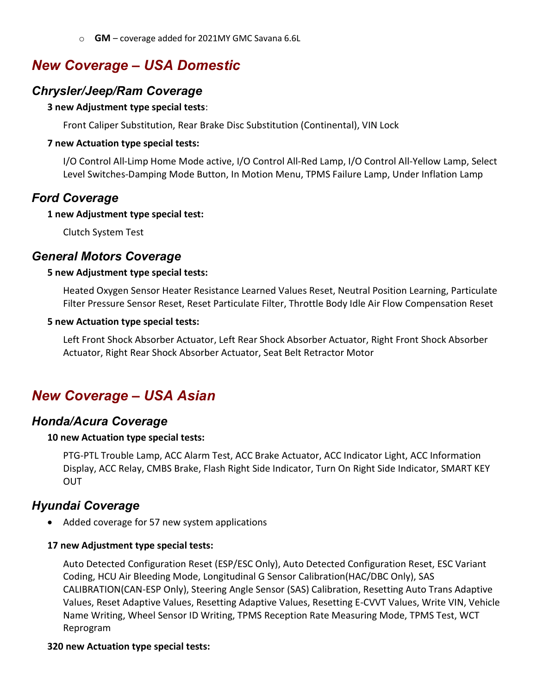o GM – coverage added for 2021MY GMC Savana 6.6L

# New Coverage – USA Domestic

## Chrysler/Jeep/Ram Coverage

#### 3 new Adjustment type special tests:

Front Caliper Substitution, Rear Brake Disc Substitution (Continental), VIN Lock

#### 7 new Actuation type special tests:

I/O Control All-Limp Home Mode active, I/O Control All-Red Lamp, I/O Control All-Yellow Lamp, Select Level Switches-Damping Mode Button, In Motion Menu, TPMS Failure Lamp, Under Inflation Lamp

# Ford Coverage

#### 1 new Adjustment type special test:

Clutch System Test

## General Motors Coverage

#### 5 new Adjustment type special tests:

Heated Oxygen Sensor Heater Resistance Learned Values Reset, Neutral Position Learning, Particulate Filter Pressure Sensor Reset, Reset Particulate Filter, Throttle Body Idle Air Flow Compensation Reset

#### 5 new Actuation type special tests:

Left Front Shock Absorber Actuator, Left Rear Shock Absorber Actuator, Right Front Shock Absorber Actuator, Right Rear Shock Absorber Actuator, Seat Belt Retractor Motor

# New Coverage – USA Asian

### Honda/Acura Coverage

#### 10 new Actuation type special tests:

PTG-PTL Trouble Lamp, ACC Alarm Test, ACC Brake Actuator, ACC Indicator Light, ACC Information Display, ACC Relay, CMBS Brake, Flash Right Side Indicator, Turn On Right Side Indicator, SMART KEY OUT

## Hyundai Coverage

• Added coverage for 57 new system applications

#### 17 new Adjustment type special tests:

Auto Detected Configuration Reset (ESP/ESC Only), Auto Detected Configuration Reset, ESC Variant Coding, HCU Air Bleeding Mode, Longitudinal G Sensor Calibration(HAC/DBC Only), SAS CALIBRATION(CAN-ESP Only), Steering Angle Sensor (SAS) Calibration, Resetting Auto Trans Adaptive Values, Reset Adaptive Values, Resetting Adaptive Values, Resetting E-CVVT Values, Write VIN, Vehicle Name Writing, Wheel Sensor ID Writing, TPMS Reception Rate Measuring Mode, TPMS Test, WCT Reprogram

### 320 new Actuation type special tests: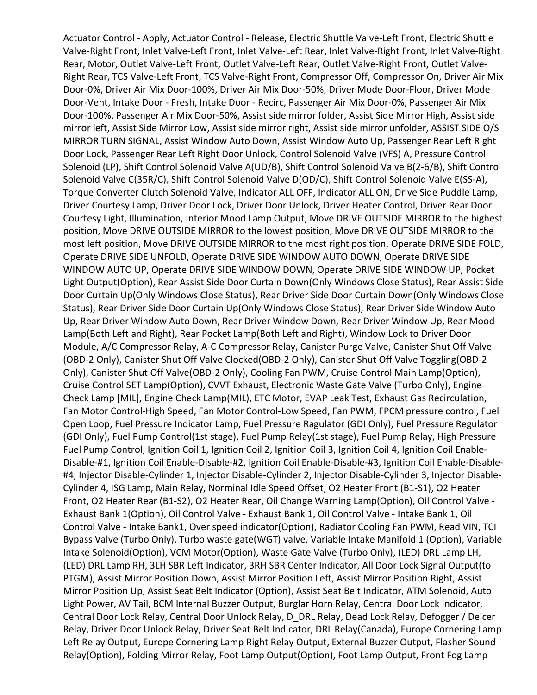Actuator Control - Apply, Actuator Control - Release, Electric Shuttle Valve-Left Front, Electric Shuttle Valve-Right Front, Inlet Valve-Left Front, Inlet Valve-Left Rear, Inlet Valve-Right Front, Inlet Valve-Right Rear, Motor, Outlet Valve-Left Front, Outlet Valve-Left Rear, Outlet Valve-Right Front, Outlet Valve-Right Rear, TCS Valve-Left Front, TCS Valve-Right Front, Compressor Off, Compressor On, Driver Air Mix Door-0%, Driver Air Mix Door-100%, Driver Air Mix Door-50%, Driver Mode Door-Floor, Driver Mode Door-Vent, Intake Door - Fresh, Intake Door - Recirc, Passenger Air Mix Door-0%, Passenger Air Mix Door-100%, Passenger Air Mix Door-50%, Assist side mirror folder, Assist Side Mirror High, Assist side mirror left, Assist Side Mirror Low, Assist side mirror right, Assist side mirror unfolder, ASSIST SIDE O/S MIRROR TURN SIGNAL, Assist Window Auto Down, Assist Window Auto Up, Passenger Rear Left Right Door Lock, Passenger Rear Left Right Door Unlock, Control Solenoid Valve (VFS) A, Pressure Control Solenoid (LP), Shift Control Solenoid Valve A(UD/B), Shift Control Solenoid Valve B(2-6/B), Shift Control Solenoid Valve C(35R/C), Shift Control Solenoid Valve D(OD/C), Shift Control Solenoid Valve E(SS-A), Torque Converter Clutch Solenoid Valve, Indicator ALL OFF, Indicator ALL ON, Drive Side Puddle Lamp, Driver Courtesy Lamp, Driver Door Lock, Driver Door Unlock, Driver Heater Control, Driver Rear Door Courtesy Light, Illumination, Interior Mood Lamp Output, Move DRIVE OUTSIDE MIRROR to the highest position, Move DRIVE OUTSIDE MIRROR to the lowest position, Move DRIVE OUTSIDE MIRROR to the most left position, Move DRIVE OUTSIDE MIRROR to the most right position, Operate DRIVE SIDE FOLD, Operate DRIVE SIDE UNFOLD, Operate DRIVE SIDE WINDOW AUTO DOWN, Operate DRIVE SIDE WINDOW AUTO UP, Operate DRIVE SIDE WINDOW DOWN, Operate DRIVE SIDE WINDOW UP, Pocket Light Output(Option), Rear Assist Side Door Curtain Down(Only Windows Close Status), Rear Assist Side Door Curtain Up(Only Windows Close Status), Rear Driver Side Door Curtain Down(Only Windows Close Status), Rear Driver Side Door Curtain Up(Only Windows Close Status), Rear Driver Side Window Auto Up, Rear Driver Window Auto Down, Rear Driver Window Down, Rear Driver Window Up, Rear Mood Lamp(Both Left and Right), Rear Pocket Lamp(Both Left and Right), Window Lock to Driver Door Module, A/C Compressor Relay, A-C Compressor Relay, Canister Purge Valve, Canister Shut Off Valve (OBD-2 Only), Canister Shut Off Valve Clocked(OBD-2 Only), Canister Shut Off Valve Toggling(OBD-2 Only), Canister Shut Off Valve(OBD-2 Only), Cooling Fan PWM, Cruise Control Main Lamp(Option), Cruise Control SET Lamp(Option), CVVT Exhaust, Electronic Waste Gate Valve (Turbo Only), Engine Check Lamp [MIL], Engine Check Lamp(MIL), ETC Motor, EVAP Leak Test, Exhaust Gas Recirculation, Fan Motor Control-High Speed, Fan Motor Control-Low Speed, Fan PWM, FPCM pressure control, Fuel Open Loop, Fuel Pressure Indicator Lamp, Fuel Pressure Ragulator (GDI Only), Fuel Pressure Regulator (GDI Only), Fuel Pump Control(1st stage), Fuel Pump Relay(1st stage), Fuel Pump Relay, High Pressure Fuel Pump Control, Ignition Coil 1, Ignition Coil 2, Ignition Coil 3, Ignition Coil 4, Ignition Coil Enable-Disable-#1, Ignition Coil Enable-Disable-#2, Ignition Coil Enable-Disable-#3, Ignition Coil Enable-Disable- #4, Injector Disable-Cylinder 1, Injector Disable-Cylinder 2, Injector Disable-Cylinder 3, Injector Disable-Cylinder 4, ISG Lamp, Main Relay, Norminal Idle Speed Offset, O2 Heater Front (B1-S1), O2 Heater Front, O2 Heater Rear (B1-S2), O2 Heater Rear, Oil Change Warning Lamp(Option), Oil Control Valve - Exhaust Bank 1(Option), Oil Control Valve - Exhaust Bank 1, Oil Control Valve - Intake Bank 1, Oil Control Valve - Intake Bank1, Over speed indicator(Option), Radiator Cooling Fan PWM, Read VIN, TCI Bypass Valve (Turbo Only), Turbo waste gate(WGT) valve, Variable Intake Manifold 1 (Option), Variable Intake Solenoid(Option), VCM Motor(Option), Waste Gate Valve (Turbo Only), (LED) DRL Lamp LH, (LED) DRL Lamp RH, 3LH SBR Left Indicator, 3RH SBR Center Indicator, All Door Lock Signal Output(to PTGM), Assist Mirror Position Down, Assist Mirror Position Left, Assist Mirror Position Right, Assist Mirror Position Up, Assist Seat Belt Indicator (Option), Assist Seat Belt Indicator, ATM Solenoid, Auto Light Power, AV Tail, BCM Internal Buzzer Output, Burglar Horn Relay, Central Door Lock Indicator, Central Door Lock Relay, Central Door Unlock Relay, D\_DRL Relay, Dead Lock Relay, Defogger / Deicer Relay, Driver Door Unlock Relay, Driver Seat Belt Indicator, DRL Relay(Canada), Europe Cornering Lamp Left Relay Output, Europe Cornering Lamp Right Relay Output, External Buzzer Output, Flasher Sound Relay(Option), Folding Mirror Relay, Foot Lamp Output(Option), Foot Lamp Output, Front Fog Lamp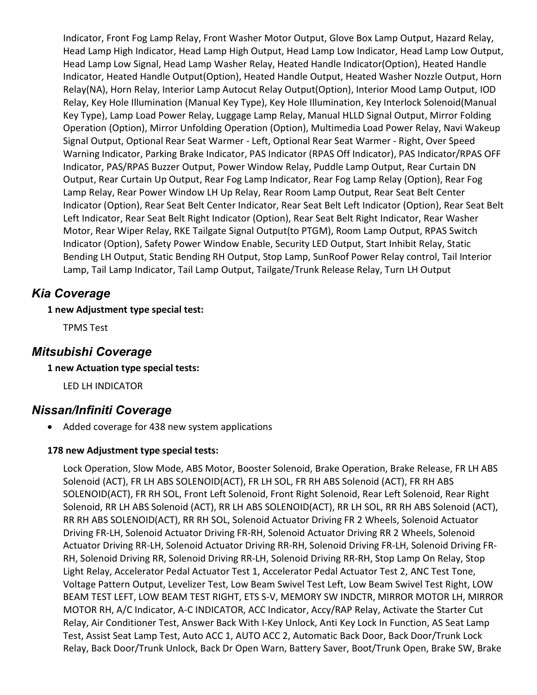Indicator, Front Fog Lamp Relay, Front Washer Motor Output, Glove Box Lamp Output, Hazard Relay, Head Lamp High Indicator, Head Lamp High Output, Head Lamp Low Indicator, Head Lamp Low Output, Head Lamp Low Signal, Head Lamp Washer Relay, Heated Handle Indicator(Option), Heated Handle Indicator, Heated Handle Output(Option), Heated Handle Output, Heated Washer Nozzle Output, Horn Relay(NA), Horn Relay, Interior Lamp Autocut Relay Output(Option), Interior Mood Lamp Output, IOD Relay, Key Hole Illumination (Manual Key Type), Key Hole Illumination, Key Interlock Solenoid(Manual Key Type), Lamp Load Power Relay, Luggage Lamp Relay, Manual HLLD Signal Output, Mirror Folding Operation (Option), Mirror Unfolding Operation (Option), Multimedia Load Power Relay, Navi Wakeup Signal Output, Optional Rear Seat Warmer - Left, Optional Rear Seat Warmer - Right, Over Speed Warning Indicator, Parking Brake Indicator, PAS Indicator (RPAS Off Indicator), PAS Indicator/RPAS OFF Indicator, PAS/RPAS Buzzer Output, Power Window Relay, Puddle Lamp Output, Rear Curtain DN Output, Rear Curtain Up Output, Rear Fog Lamp Indicator, Rear Fog Lamp Relay (Option), Rear Fog Lamp Relay, Rear Power Window LH Up Relay, Rear Room Lamp Output, Rear Seat Belt Center Indicator (Option), Rear Seat Belt Center Indicator, Rear Seat Belt Left Indicator (Option), Rear Seat Belt Left Indicator, Rear Seat Belt Right Indicator (Option), Rear Seat Belt Right Indicator, Rear Washer Motor, Rear Wiper Relay, RKE Tailgate Signal Output(to PTGM), Room Lamp Output, RPAS Switch Indicator (Option), Safety Power Window Enable, Security LED Output, Start Inhibit Relay, Static Bending LH Output, Static Bending RH Output, Stop Lamp, SunRoof Power Relay control, Tail Interior Lamp, Tail Lamp Indicator, Tail Lamp Output, Tailgate/Trunk Release Relay, Turn LH Output

# Kia Coverage

### 1 new Adjustment type special test:

TPMS Test

## Mitsubishi Coverage

### 1 new Actuation type special tests:

LED LH INDICATOR

## Nissan/Infiniti Coverage

Added coverage for 438 new system applications

### 178 new Adjustment type special tests:

Lock Operation, Slow Mode, ABS Motor, Booster Solenoid, Brake Operation, Brake Release, FR LH ABS Solenoid (ACT), FR LH ABS SOLENOID(ACT), FR LH SOL, FR RH ABS Solenoid (ACT), FR RH ABS SOLENOID(ACT), FR RH SOL, Front Left Solenoid, Front Right Solenoid, Rear Left Solenoid, Rear Right Solenoid, RR LH ABS Solenoid (ACT), RR LH ABS SOLENOID(ACT), RR LH SOL, RR RH ABS Solenoid (ACT), RR RH ABS SOLENOID(ACT), RR RH SOL, Solenoid Actuator Driving FR 2 Wheels, Solenoid Actuator Driving FR-LH, Solenoid Actuator Driving FR-RH, Solenoid Actuator Driving RR 2 Wheels, Solenoid Actuator Driving RR-LH, Solenoid Actuator Driving RR-RH, Solenoid Driving FR-LH, Solenoid Driving FR-RH, Solenoid Driving RR, Solenoid Driving RR-LH, Solenoid Driving RR-RH, Stop Lamp On Relay, Stop Light Relay, Accelerator Pedal Actuator Test 1, Accelerator Pedal Actuator Test 2, ANC Test Tone, Voltage Pattern Output, Levelizer Test, Low Beam Swivel Test Left, Low Beam Swivel Test Right, LOW BEAM TEST LEFT, LOW BEAM TEST RIGHT, ETS S-V, MEMORY SW INDCTR, MIRROR MOTOR LH, MIRROR MOTOR RH, A/C Indicator, A-C INDICATOR, ACC Indicator, Accy/RAP Relay, Activate the Starter Cut Relay, Air Conditioner Test, Answer Back With I-Key Unlock, Anti Key Lock In Function, AS Seat Lamp Test, Assist Seat Lamp Test, Auto ACC 1, AUTO ACC 2, Automatic Back Door, Back Door/Trunk Lock Relay, Back Door/Trunk Unlock, Back Dr Open Warn, Battery Saver, Boot/Trunk Open, Brake SW, Brake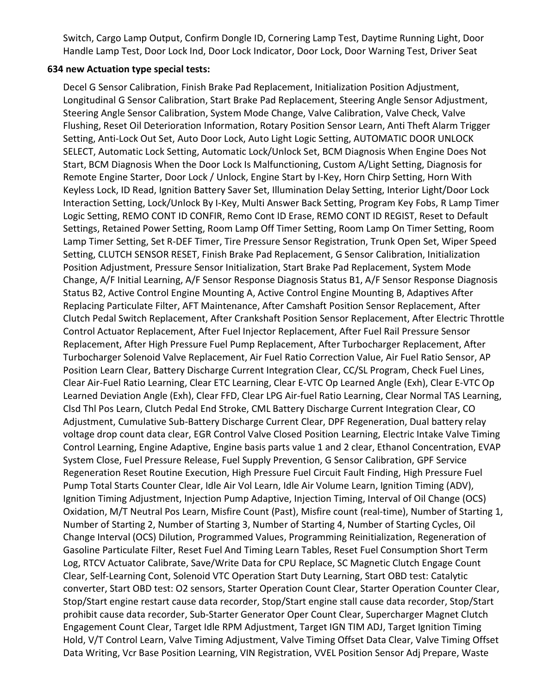Switch, Cargo Lamp Output, Confirm Dongle ID, Cornering Lamp Test, Daytime Running Light, Door Handle Lamp Test, Door Lock Ind, Door Lock Indicator, Door Lock, Door Warning Test, Driver Seat

#### 634 new Actuation type special tests:

Decel G Sensor Calibration, Finish Brake Pad Replacement, Initialization Position Adjustment, Longitudinal G Sensor Calibration, Start Brake Pad Replacement, Steering Angle Sensor Adjustment, Steering Angle Sensor Calibration, System Mode Change, Valve Calibration, Valve Check, Valve Flushing, Reset Oil Deterioration Information, Rotary Position Sensor Learn, Anti Theft Alarm Trigger Setting, Anti-Lock Out Set, Auto Door Lock, Auto Light Logic Setting, AUTOMATIC DOOR UNLOCK SELECT, Automatic Lock Setting, Automatic Lock/Unlock Set, BCM Diagnosis When Engine Does Not Start, BCM Diagnosis When the Door Lock Is Malfunctioning, Custom A/Light Setting, Diagnosis for Remote Engine Starter, Door Lock / Unlock, Engine Start by I-Key, Horn Chirp Setting, Horn With Keyless Lock, ID Read, Ignition Battery Saver Set, Illumination Delay Setting, Interior Light/Door Lock Interaction Setting, Lock/Unlock By I-Key, Multi Answer Back Setting, Program Key Fobs, R Lamp Timer Logic Setting, REMO CONT ID CONFIR, Remo Cont ID Erase, REMO CONT ID REGIST, Reset to Default Settings, Retained Power Setting, Room Lamp Off Timer Setting, Room Lamp On Timer Setting, Room Lamp Timer Setting, Set R-DEF Timer, Tire Pressure Sensor Registration, Trunk Open Set, Wiper Speed Setting, CLUTCH SENSOR RESET, Finish Brake Pad Replacement, G Sensor Calibration, Initialization Position Adjustment, Pressure Sensor Initialization, Start Brake Pad Replacement, System Mode Change, A/F Initial Learning, A/F Sensor Response Diagnosis Status B1, A/F Sensor Response Diagnosis Status B2, Active Control Engine Mounting A, Active Control Engine Mounting B, Adaptives After Replacing Particulate Filter, AFT Maintenance, After Camshaft Position Sensor Replacement, After Clutch Pedal Switch Replacement, After Crankshaft Position Sensor Replacement, After Electric Throttle Control Actuator Replacement, After Fuel Injector Replacement, After Fuel Rail Pressure Sensor Replacement, After High Pressure Fuel Pump Replacement, After Turbocharger Replacement, After Turbocharger Solenoid Valve Replacement, Air Fuel Ratio Correction Value, Air Fuel Ratio Sensor, AP Position Learn Clear, Battery Discharge Current Integration Clear, CC/SL Program, Check Fuel Lines, Clear Air-Fuel Ratio Learning, Clear ETC Learning, Clear E-VTC Op Learned Angle (Exh), Clear E-VTC Op Learned Deviation Angle (Exh), Clear FFD, Clear LPG Air-fuel Ratio Learning, Clear Normal TAS Learning, Clsd Thl Pos Learn, Clutch Pedal End Stroke, CML Battery Discharge Current Integration Clear, CO Adjustment, Cumulative Sub-Battery Discharge Current Clear, DPF Regeneration, Dual battery relay voltage drop count data clear, EGR Control Valve Closed Position Learning, Electric Intake Valve Timing Control Learning, Engine Adaptive, Engine basis parts value 1 and 2 clear, Ethanol Concentration, EVAP System Close, Fuel Pressure Release, Fuel Supply Prevention, G Sensor Calibration, GPF Service Regeneration Reset Routine Execution, High Pressure Fuel Circuit Fault Finding, High Pressure Fuel Pump Total Starts Counter Clear, Idle Air Vol Learn, Idle Air Volume Learn, Ignition Timing (ADV), Ignition Timing Adjustment, Injection Pump Adaptive, Injection Timing, Interval of Oil Change (OCS) Oxidation, M/T Neutral Pos Learn, Misfire Count (Past), Misfire count (real-time), Number of Starting 1, Number of Starting 2, Number of Starting 3, Number of Starting 4, Number of Starting Cycles, Oil Change Interval (OCS) Dilution, Programmed Values, Programming Reinitialization, Regeneration of Gasoline Particulate Filter, Reset Fuel And Timing Learn Tables, Reset Fuel Consumption Short Term Log, RTCV Actuator Calibrate, Save/Write Data for CPU Replace, SC Magnetic Clutch Engage Count Clear, Self-Learning Cont, Solenoid VTC Operation Start Duty Learning, Start OBD test: Catalytic converter, Start OBD test: O2 sensors, Starter Operation Count Clear, Starter Operation Counter Clear, Stop/Start engine restart cause data recorder, Stop/Start engine stall cause data recorder, Stop/Start prohibit cause data recorder, Sub-Starter Generator Oper Count Clear, Supercharger Magnet Clutch Engagement Count Clear, Target Idle RPM Adjustment, Target IGN TIM ADJ, Target Ignition Timing Hold, V/T Control Learn, Valve Timing Adjustment, Valve Timing Offset Data Clear, Valve Timing Offset Data Writing, Vcr Base Position Learning, VIN Registration, VVEL Position Sensor Adj Prepare, Waste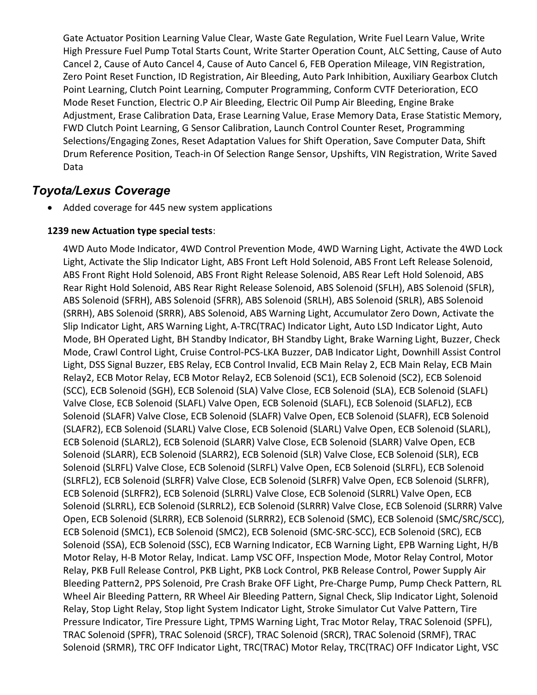Gate Actuator Position Learning Value Clear, Waste Gate Regulation, Write Fuel Learn Value, Write High Pressure Fuel Pump Total Starts Count, Write Starter Operation Count, ALC Setting, Cause of Auto Cancel 2, Cause of Auto Cancel 4, Cause of Auto Cancel 6, FEB Operation Mileage, VIN Registration, Zero Point Reset Function, ID Registration, Air Bleeding, Auto Park Inhibition, Auxiliary Gearbox Clutch Point Learning, Clutch Point Learning, Computer Programming, Conform CVTF Deterioration, ECO Mode Reset Function, Electric O.P Air Bleeding, Electric Oil Pump Air Bleeding, Engine Brake Adjustment, Erase Calibration Data, Erase Learning Value, Erase Memory Data, Erase Statistic Memory, FWD Clutch Point Learning, G Sensor Calibration, Launch Control Counter Reset, Programming Selections/Engaging Zones, Reset Adaptation Values for Shift Operation, Save Computer Data, Shift Drum Reference Position, Teach-in Of Selection Range Sensor, Upshifts, VIN Registration, Write Saved Data

## Toyota/Lexus Coverage

Added coverage for 445 new system applications

#### 1239 new Actuation type special tests:

4WD Auto Mode Indicator, 4WD Control Prevention Mode, 4WD Warning Light, Activate the 4WD Lock Light, Activate the Slip Indicator Light, ABS Front Left Hold Solenoid, ABS Front Left Release Solenoid, ABS Front Right Hold Solenoid, ABS Front Right Release Solenoid, ABS Rear Left Hold Solenoid, ABS Rear Right Hold Solenoid, ABS Rear Right Release Solenoid, ABS Solenoid (SFLH), ABS Solenoid (SFLR), ABS Solenoid (SFRH), ABS Solenoid (SFRR), ABS Solenoid (SRLH), ABS Solenoid (SRLR), ABS Solenoid (SRRH), ABS Solenoid (SRRR), ABS Solenoid, ABS Warning Light, Accumulator Zero Down, Activate the Slip Indicator Light, ARS Warning Light, A-TRC(TRAC) Indicator Light, Auto LSD Indicator Light, Auto Mode, BH Operated Light, BH Standby Indicator, BH Standby Light, Brake Warning Light, Buzzer, Check Mode, Crawl Control Light, Cruise Control-PCS-LKA Buzzer, DAB Indicator Light, Downhill Assist Control Light, DSS Signal Buzzer, EBS Relay, ECB Control Invalid, ECB Main Relay 2, ECB Main Relay, ECB Main Relay2, ECB Motor Relay, ECB Motor Relay2, ECB Solenoid (SC1), ECB Solenoid (SC2), ECB Solenoid (SCC), ECB Solenoid (SGH), ECB Solenoid (SLA) Valve Close, ECB Solenoid (SLA), ECB Solenoid (SLAFL) Valve Close, ECB Solenoid (SLAFL) Valve Open, ECB Solenoid (SLAFL), ECB Solenoid (SLAFL2), ECB Solenoid (SLAFR) Valve Close, ECB Solenoid (SLAFR) Valve Open, ECB Solenoid (SLAFR), ECB Solenoid (SLAFR2), ECB Solenoid (SLARL) Valve Close, ECB Solenoid (SLARL) Valve Open, ECB Solenoid (SLARL), ECB Solenoid (SLARL2), ECB Solenoid (SLARR) Valve Close, ECB Solenoid (SLARR) Valve Open, ECB Solenoid (SLARR), ECB Solenoid (SLARR2), ECB Solenoid (SLR) Valve Close, ECB Solenoid (SLR), ECB Solenoid (SLRFL) Valve Close, ECB Solenoid (SLRFL) Valve Open, ECB Solenoid (SLRFL), ECB Solenoid (SLRFL2), ECB Solenoid (SLRFR) Valve Close, ECB Solenoid (SLRFR) Valve Open, ECB Solenoid (SLRFR), ECB Solenoid (SLRFR2), ECB Solenoid (SLRRL) Valve Close, ECB Solenoid (SLRRL) Valve Open, ECB Solenoid (SLRRL), ECB Solenoid (SLRRL2), ECB Solenoid (SLRRR) Valve Close, ECB Solenoid (SLRRR) Valve Open, ECB Solenoid (SLRRR), ECB Solenoid (SLRRR2), ECB Solenoid (SMC), ECB Solenoid (SMC/SRC/SCC), ECB Solenoid (SMC1), ECB Solenoid (SMC2), ECB Solenoid (SMC-SRC-SCC), ECB Solenoid (SRC), ECB Solenoid (SSA), ECB Solenoid (SSC), ECB Warning Indicator, ECB Warning Light, EPB Warning Light, H/B Motor Relay, H-B Motor Relay, Indicat. Lamp VSC OFF, Inspection Mode, Motor Relay Control, Motor Relay, PKB Full Release Control, PKB Light, PKB Lock Control, PKB Release Control, Power Supply Air Bleeding Pattern2, PPS Solenoid, Pre Crash Brake OFF Light, Pre-Charge Pump, Pump Check Pattern, RL Wheel Air Bleeding Pattern, RR Wheel Air Bleeding Pattern, Signal Check, Slip Indicator Light, Solenoid Relay, Stop Light Relay, Stop light System Indicator Light, Stroke Simulator Cut Valve Pattern, Tire Pressure Indicator, Tire Pressure Light, TPMS Warning Light, Trac Motor Relay, TRAC Solenoid (SPFL), TRAC Solenoid (SPFR), TRAC Solenoid (SRCF), TRAC Solenoid (SRCR), TRAC Solenoid (SRMF), TRAC Solenoid (SRMR), TRC OFF Indicator Light, TRC(TRAC) Motor Relay, TRC(TRAC) OFF Indicator Light, VSC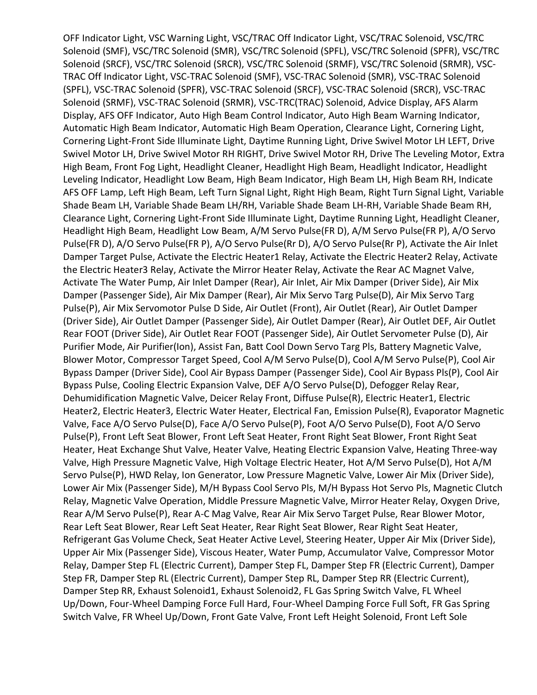OFF Indicator Light, VSC Warning Light, VSC/TRAC Off Indicator Light, VSC/TRAC Solenoid, VSC/TRC Solenoid (SMF), VSC/TRC Solenoid (SMR), VSC/TRC Solenoid (SPFL), VSC/TRC Solenoid (SPFR), VSC/TRC Solenoid (SRCF), VSC/TRC Solenoid (SRCR), VSC/TRC Solenoid (SRMF), VSC/TRC Solenoid (SRMR), VSC-TRAC Off Indicator Light, VSC-TRAC Solenoid (SMF), VSC-TRAC Solenoid (SMR), VSC-TRAC Solenoid (SPFL), VSC-TRAC Solenoid (SPFR), VSC-TRAC Solenoid (SRCF), VSC-TRAC Solenoid (SRCR), VSC-TRAC Solenoid (SRMF), VSC-TRAC Solenoid (SRMR), VSC-TRC(TRAC) Solenoid, Advice Display, AFS Alarm Display, AFS OFF Indicator, Auto High Beam Control Indicator, Auto High Beam Warning Indicator, Automatic High Beam Indicator, Automatic High Beam Operation, Clearance Light, Cornering Light, Cornering Light-Front Side Illuminate Light, Daytime Running Light, Drive Swivel Motor LH LEFT, Drive Swivel Motor LH, Drive Swivel Motor RH RIGHT, Drive Swivel Motor RH, Drive The Leveling Motor, Extra High Beam, Front Fog Light, Headlight Cleaner, Headlight High Beam, Headlight Indicator, Headlight Leveling Indicator, Headlight Low Beam, High Beam Indicator, High Beam LH, High Beam RH, Indicate AFS OFF Lamp, Left High Beam, Left Turn Signal Light, Right High Beam, Right Turn Signal Light, Variable Shade Beam LH, Variable Shade Beam LH/RH, Variable Shade Beam LH-RH, Variable Shade Beam RH, Clearance Light, Cornering Light-Front Side Illuminate Light, Daytime Running Light, Headlight Cleaner, Headlight High Beam, Headlight Low Beam, A/M Servo Pulse(FR D), A/M Servo Pulse(FR P), A/O Servo Pulse(FR D), A/O Servo Pulse(FR P), A/O Servo Pulse(Rr D), A/O Servo Pulse(Rr P), Activate the Air Inlet Damper Target Pulse, Activate the Electric Heater1 Relay, Activate the Electric Heater2 Relay, Activate the Electric Heater3 Relay, Activate the Mirror Heater Relay, Activate the Rear AC Magnet Valve, Activate The Water Pump, Air Inlet Damper (Rear), Air Inlet, Air Mix Damper (Driver Side), Air Mix Damper (Passenger Side), Air Mix Damper (Rear), Air Mix Servo Targ Pulse(D), Air Mix Servo Targ Pulse(P), Air Mix Servomotor Pulse D Side, Air Outlet (Front), Air Outlet (Rear), Air Outlet Damper (Driver Side), Air Outlet Damper (Passenger Side), Air Outlet Damper (Rear), Air Outlet DEF, Air Outlet Rear FOOT (Driver Side), Air Outlet Rear FOOT (Passenger Side), Air Outlet Servometer Pulse (D), Air Purifier Mode, Air Purifier(Ion), Assist Fan, Batt Cool Down Servo Targ Pls, Battery Magnetic Valve, Blower Motor, Compressor Target Speed, Cool A/M Servo Pulse(D), Cool A/M Servo Pulse(P), Cool Air Bypass Damper (Driver Side), Cool Air Bypass Damper (Passenger Side), Cool Air Bypass Pls(P), Cool Air Bypass Pulse, Cooling Electric Expansion Valve, DEF A/O Servo Pulse(D), Defogger Relay Rear, Dehumidification Magnetic Valve, Deicer Relay Front, Diffuse Pulse(R), Electric Heater1, Electric Heater2, Electric Heater3, Electric Water Heater, Electrical Fan, Emission Pulse(R), Evaporator Magnetic Valve, Face A/O Servo Pulse(D), Face A/O Servo Pulse(P), Foot A/O Servo Pulse(D), Foot A/O Servo Pulse(P), Front Left Seat Blower, Front Left Seat Heater, Front Right Seat Blower, Front Right Seat Heater, Heat Exchange Shut Valve, Heater Valve, Heating Electric Expansion Valve, Heating Three-way Valve, High Pressure Magnetic Valve, High Voltage Electric Heater, Hot A/M Servo Pulse(D), Hot A/M Servo Pulse(P), HWD Relay, Ion Generator, Low Pressure Magnetic Valve, Lower Air Mix (Driver Side), Lower Air Mix (Passenger Side), M/H Bypass Cool Servo Pls, M/H Bypass Hot Servo Pls, Magnetic Clutch Relay, Magnetic Valve Operation, Middle Pressure Magnetic Valve, Mirror Heater Relay, Oxygen Drive, Rear A/M Servo Pulse(P), Rear A-C Mag Valve, Rear Air Mix Servo Target Pulse, Rear Blower Motor, Rear Left Seat Blower, Rear Left Seat Heater, Rear Right Seat Blower, Rear Right Seat Heater, Refrigerant Gas Volume Check, Seat Heater Active Level, Steering Heater, Upper Air Mix (Driver Side), Upper Air Mix (Passenger Side), Viscous Heater, Water Pump, Accumulator Valve, Compressor Motor Relay, Damper Step FL (Electric Current), Damper Step FL, Damper Step FR (Electric Current), Damper Step FR, Damper Step RL (Electric Current), Damper Step RL, Damper Step RR (Electric Current), Damper Step RR, Exhaust Solenoid1, Exhaust Solenoid2, FL Gas Spring Switch Valve, FL Wheel Up/Down, Four-Wheel Damping Force Full Hard, Four-Wheel Damping Force Full Soft, FR Gas Spring Switch Valve, FR Wheel Up/Down, Front Gate Valve, Front Left Height Solenoid, Front Left Sole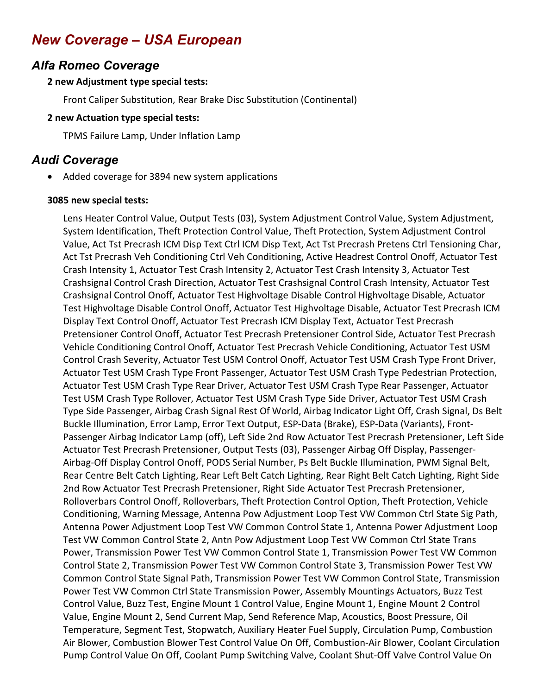# New Coverage – USA European

## Alfa Romeo Coverage

#### 2 new Adjustment type special tests:

Front Caliper Substitution, Rear Brake Disc Substitution (Continental)

#### 2 new Actuation type special tests:

TPMS Failure Lamp, Under Inflation Lamp

# Audi Coverage

Added coverage for 3894 new system applications

#### 3085 new special tests:

Lens Heater Control Value, Output Tests (03), System Adjustment Control Value, System Adjustment, System Identification, Theft Protection Control Value, Theft Protection, System Adjustment Control Value, Act Tst Precrash ICM Disp Text Ctrl ICM Disp Text, Act Tst Precrash Pretens Ctrl Tensioning Char, Act Tst Precrash Veh Conditioning Ctrl Veh Conditioning, Active Headrest Control Onoff, Actuator Test Crash Intensity 1, Actuator Test Crash Intensity 2, Actuator Test Crash Intensity 3, Actuator Test Crashsignal Control Crash Direction, Actuator Test Crashsignal Control Crash Intensity, Actuator Test Crashsignal Control Onoff, Actuator Test Highvoltage Disable Control Highvoltage Disable, Actuator Test Highvoltage Disable Control Onoff, Actuator Test Highvoltage Disable, Actuator Test Precrash ICM Display Text Control Onoff, Actuator Test Precrash ICM Display Text, Actuator Test Precrash Pretensioner Control Onoff, Actuator Test Precrash Pretensioner Control Side, Actuator Test Precrash Vehicle Conditioning Control Onoff, Actuator Test Precrash Vehicle Conditioning, Actuator Test USM Control Crash Severity, Actuator Test USM Control Onoff, Actuator Test USM Crash Type Front Driver, Actuator Test USM Crash Type Front Passenger, Actuator Test USM Crash Type Pedestrian Protection, Actuator Test USM Crash Type Rear Driver, Actuator Test USM Crash Type Rear Passenger, Actuator Test USM Crash Type Rollover, Actuator Test USM Crash Type Side Driver, Actuator Test USM Crash Type Side Passenger, Airbag Crash Signal Rest Of World, Airbag Indicator Light Off, Crash Signal, Ds Belt Buckle Illumination, Error Lamp, Error Text Output, ESP-Data (Brake), ESP-Data (Variants), Front-Passenger Airbag Indicator Lamp (off), Left Side 2nd Row Actuator Test Precrash Pretensioner, Left Side Actuator Test Precrash Pretensioner, Output Tests (03), Passenger Airbag Off Display, Passenger-Airbag-Off Display Control Onoff, PODS Serial Number, Ps Belt Buckle Illumination, PWM Signal Belt, Rear Centre Belt Catch Lighting, Rear Left Belt Catch Lighting, Rear Right Belt Catch Lighting, Right Side 2nd Row Actuator Test Precrash Pretensioner, Right Side Actuator Test Precrash Pretensioner, Rolloverbars Control Onoff, Rolloverbars, Theft Protection Control Option, Theft Protection, Vehicle Conditioning, Warning Message, Antenna Pow Adjustment Loop Test VW Common Ctrl State Sig Path, Antenna Power Adjustment Loop Test VW Common Control State 1, Antenna Power Adjustment Loop Test VW Common Control State 2, Antn Pow Adjustment Loop Test VW Common Ctrl State Trans Power, Transmission Power Test VW Common Control State 1, Transmission Power Test VW Common Control State 2, Transmission Power Test VW Common Control State 3, Transmission Power Test VW Common Control State Signal Path, Transmission Power Test VW Common Control State, Transmission Power Test VW Common Ctrl State Transmission Power, Assembly Mountings Actuators, Buzz Test Control Value, Buzz Test, Engine Mount 1 Control Value, Engine Mount 1, Engine Mount 2 Control Value, Engine Mount 2, Send Current Map, Send Reference Map, Acoustics, Boost Pressure, Oil Temperature, Segment Test, Stopwatch, Auxiliary Heater Fuel Supply, Circulation Pump, Combustion Air Blower, Combustion Blower Test Control Value On Off, Combustion-Air Blower, Coolant Circulation Pump Control Value On Off, Coolant Pump Switching Valve, Coolant Shut-Off Valve Control Value On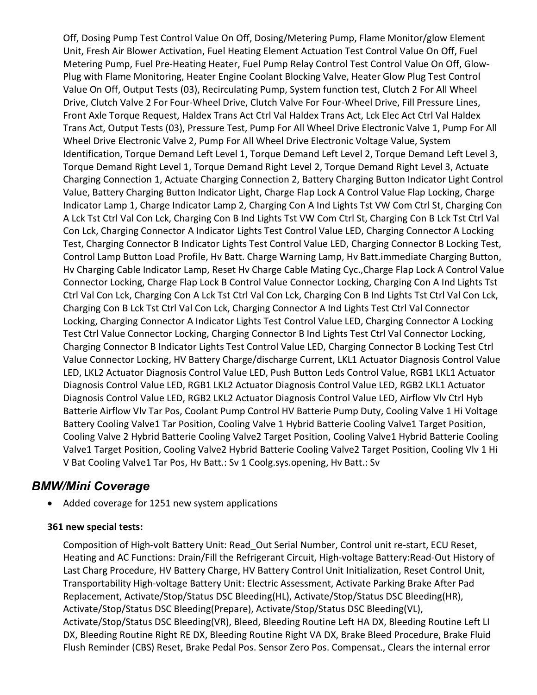Off, Dosing Pump Test Control Value On Off, Dosing/Metering Pump, Flame Monitor/glow Element Unit, Fresh Air Blower Activation, Fuel Heating Element Actuation Test Control Value On Off, Fuel Metering Pump, Fuel Pre-Heating Heater, Fuel Pump Relay Control Test Control Value On Off, Glow-Plug with Flame Monitoring, Heater Engine Coolant Blocking Valve, Heater Glow Plug Test Control Value On Off, Output Tests (03), Recirculating Pump, System function test, Clutch 2 For All Wheel Drive, Clutch Valve 2 For Four-Wheel Drive, Clutch Valve For Four-Wheel Drive, Fill Pressure Lines, Front Axle Torque Request, Haldex Trans Act Ctrl Val Haldex Trans Act, Lck Elec Act Ctrl Val Haldex Trans Act, Output Tests (03), Pressure Test, Pump For All Wheel Drive Electronic Valve 1, Pump For All Wheel Drive Electronic Valve 2, Pump For All Wheel Drive Electronic Voltage Value, System Identification, Torque Demand Left Level 1, Torque Demand Left Level 2, Torque Demand Left Level 3, Torque Demand Right Level 1, Torque Demand Right Level 2, Torque Demand Right Level 3, Actuate Charging Connection 1, Actuate Charging Connection 2, Battery Charging Button Indicator Light Control Value, Battery Charging Button Indicator Light, Charge Flap Lock A Control Value Flap Locking, Charge Indicator Lamp 1, Charge Indicator Lamp 2, Charging Con A Ind Lights Tst VW Com Ctrl St, Charging Con A Lck Tst Ctrl Val Con Lck, Charging Con B Ind Lights Tst VW Com Ctrl St, Charging Con B Lck Tst Ctrl Val Con Lck, Charging Connector A Indicator Lights Test Control Value LED, Charging Connector A Locking Test, Charging Connector B Indicator Lights Test Control Value LED, Charging Connector B Locking Test, Control Lamp Button Load Profile, Hv Batt. Charge Warning Lamp, Hv Batt.immediate Charging Button, Hv Charging Cable Indicator Lamp, Reset Hv Charge Cable Mating Cyc.,Charge Flap Lock A Control Value Connector Locking, Charge Flap Lock B Control Value Connector Locking, Charging Con A Ind Lights Tst Ctrl Val Con Lck, Charging Con A Lck Tst Ctrl Val Con Lck, Charging Con B Ind Lights Tst Ctrl Val Con Lck, Charging Con B Lck Tst Ctrl Val Con Lck, Charging Connector A Ind Lights Test Ctrl Val Connector Locking, Charging Connector A Indicator Lights Test Control Value LED, Charging Connector A Locking Test Ctrl Value Connector Locking, Charging Connector B Ind Lights Test Ctrl Val Connector Locking, Charging Connector B Indicator Lights Test Control Value LED, Charging Connector B Locking Test Ctrl Value Connector Locking, HV Battery Charge/discharge Current, LKL1 Actuator Diagnosis Control Value LED, LKL2 Actuator Diagnosis Control Value LED, Push Button Leds Control Value, RGB1 LKL1 Actuator Diagnosis Control Value LED, RGB1 LKL2 Actuator Diagnosis Control Value LED, RGB2 LKL1 Actuator Diagnosis Control Value LED, RGB2 LKL2 Actuator Diagnosis Control Value LED, Airflow Vlv Ctrl Hyb Batterie Airflow Vlv Tar Pos, Coolant Pump Control HV Batterie Pump Duty, Cooling Valve 1 Hi Voltage Battery Cooling Valve1 Tar Position, Cooling Valve 1 Hybrid Batterie Cooling Valve1 Target Position, Cooling Valve 2 Hybrid Batterie Cooling Valve2 Target Position, Cooling Valve1 Hybrid Batterie Cooling Valve1 Target Position, Cooling Valve2 Hybrid Batterie Cooling Valve2 Target Position, Cooling Vlv 1 Hi V Bat Cooling Valve1 Tar Pos, Hv Batt.: Sv 1 Coolg.sys.opening, Hv Batt.: Sv

### BMW/Mini Coverage

Added coverage for 1251 new system applications

#### 361 new special tests:

Composition of High-volt Battery Unit: Read\_Out Serial Number, Control unit re-start, ECU Reset, Heating and AC Functions: Drain/Fill the Refrigerant Circuit, High-voltage Battery:Read-Out History of Last Charg Procedure, HV Battery Charge, HV Battery Control Unit Initialization, Reset Control Unit, Transportability High-voltage Battery Unit: Electric Assessment, Activate Parking Brake After Pad Replacement, Activate/Stop/Status DSC Bleeding(HL), Activate/Stop/Status DSC Bleeding(HR), Activate/Stop/Status DSC Bleeding(Prepare), Activate/Stop/Status DSC Bleeding(VL), Activate/Stop/Status DSC Bleeding(VR), Bleed, Bleeding Routine Left HA DX, Bleeding Routine Left LI DX, Bleeding Routine Right RE DX, Bleeding Routine Right VA DX, Brake Bleed Procedure, Brake Fluid Flush Reminder (CBS) Reset, Brake Pedal Pos. Sensor Zero Pos. Compensat., Clears the internal error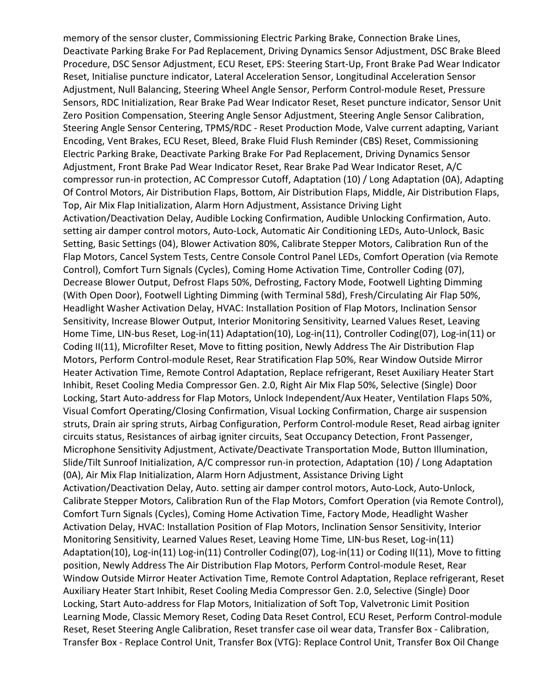memory of the sensor cluster, Commissioning Electric Parking Brake, Connection Brake Lines, Deactivate Parking Brake For Pad Replacement, Driving Dynamics Sensor Adjustment, DSC Brake Bleed Procedure, DSC Sensor Adjustment, ECU Reset, EPS: Steering Start-Up, Front Brake Pad Wear Indicator Reset, Initialise puncture indicator, Lateral Acceleration Sensor, Longitudinal Acceleration Sensor Adjustment, Null Balancing, Steering Wheel Angle Sensor, Perform Control-module Reset, Pressure Sensors, RDC Initialization, Rear Brake Pad Wear Indicator Reset, Reset puncture indicator, Sensor Unit Zero Position Compensation, Steering Angle Sensor Adjustment, Steering Angle Sensor Calibration, Steering Angle Sensor Centering, TPMS/RDC - Reset Production Mode, Valve current adapting, Variant Encoding, Vent Brakes, ECU Reset, Bleed, Brake Fluid Flush Reminder (CBS) Reset, Commissioning Electric Parking Brake, Deactivate Parking Brake For Pad Replacement, Driving Dynamics Sensor Adjustment, Front Brake Pad Wear Indicator Reset, Rear Brake Pad Wear Indicator Reset, A/C compressor run-in protection, AC Compressor Cutoff, Adaptation (10) / Long Adaptation (0A), Adapting Of Control Motors, Air Distribution Flaps, Bottom, Air Distribution Flaps, Middle, Air Distribution Flaps, Top, Air Mix Flap Initialization, Alarm Horn Adjustment, Assistance Driving Light Activation/Deactivation Delay, Audible Locking Confirmation, Audible Unlocking Confirmation, Auto. setting air damper control motors, Auto-Lock, Automatic Air Conditioning LEDs, Auto-Unlock, Basic Setting, Basic Settings (04), Blower Activation 80%, Calibrate Stepper Motors, Calibration Run of the Flap Motors, Cancel System Tests, Centre Console Control Panel LEDs, Comfort Operation (via Remote Control), Comfort Turn Signals (Cycles), Coming Home Activation Time, Controller Coding (07), Decrease Blower Output, Defrost Flaps 50%, Defrosting, Factory Mode, Footwell Lighting Dimming (With Open Door), Footwell Lighting Dimming (with Terminal 58d), Fresh/Circulating Air Flap 50%, Headlight Washer Activation Delay, HVAC: Installation Position of Flap Motors, Inclination Sensor Sensitivity, Increase Blower Output, Interior Monitoring Sensitivity, Learned Values Reset, Leaving Home Time, LIN-bus Reset, Log-in(11) Adaptation(10), Log-in(11), Controller Coding(07), Log-in(11) or Coding II(11), Microfilter Reset, Move to fitting position, Newly Address The Air Distribution Flap Motors, Perform Control-module Reset, Rear Stratification Flap 50%, Rear Window Outside Mirror Heater Activation Time, Remote Control Adaptation, Replace refrigerant, Reset Auxiliary Heater Start Inhibit, Reset Cooling Media Compressor Gen. 2.0, Right Air Mix Flap 50%, Selective (Single) Door Locking, Start Auto-address for Flap Motors, Unlock Independent/Aux Heater, Ventilation Flaps 50%, Visual Comfort Operating/Closing Confirmation, Visual Locking Confirmation, Charge air suspension struts, Drain air spring struts, Airbag Configuration, Perform Control-module Reset, Read airbag igniter circuits status, Resistances of airbag igniter circuits, Seat Occupancy Detection, Front Passenger, Microphone Sensitivity Adjustment, Activate/Deactivate Transportation Mode, Button Illumination, Slide/Tilt Sunroof Initialization, A/C compressor run-in protection, Adaptation (10) / Long Adaptation (0A), Air Mix Flap Initialization, Alarm Horn Adjustment, Assistance Driving Light Activation/Deactivation Delay, Auto. setting air damper control motors, Auto-Lock, Auto-Unlock, Calibrate Stepper Motors, Calibration Run of the Flap Motors, Comfort Operation (via Remote Control), Comfort Turn Signals (Cycles), Coming Home Activation Time, Factory Mode, Headlight Washer Activation Delay, HVAC: Installation Position of Flap Motors, Inclination Sensor Sensitivity, Interior Monitoring Sensitivity, Learned Values Reset, Leaving Home Time, LIN-bus Reset, Log-in(11) Adaptation(10), Log-in(11) Log-in(11) Controller Coding(07), Log-in(11) or Coding II(11), Move to fitting position, Newly Address The Air Distribution Flap Motors, Perform Control-module Reset, Rear Window Outside Mirror Heater Activation Time, Remote Control Adaptation, Replace refrigerant, Reset Auxiliary Heater Start Inhibit, Reset Cooling Media Compressor Gen. 2.0, Selective (Single) Door Locking, Start Auto-address for Flap Motors, Initialization of Soft Top, Valvetronic Limit Position Learning Mode, Classic Memory Reset, Coding Data Reset Control, ECU Reset, Perform Control-module Reset, Reset Steering Angle Calibration, Reset transfer case oil wear data, Transfer Box - Calibration, Transfer Box - Replace Control Unit, Transfer Box (VTG): Replace Control Unit, Transfer Box Oil Change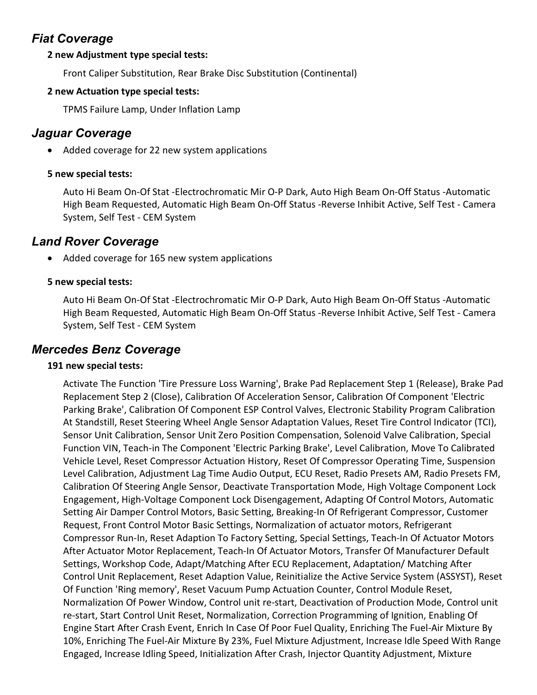# Fiat Coverage

### 2 new Adjustment type special tests:

Front Caliper Substitution, Rear Brake Disc Substitution (Continental)

### 2 new Actuation type special tests:

TPMS Failure Lamp, Under Inflation Lamp

# Jaguar Coverage

• Added coverage for 22 new system applications

### 5 new special tests:

Auto Hi Beam On-Of Stat -Electrochromatic Mir O-P Dark, Auto High Beam On-Off Status -Automatic High Beam Requested, Automatic High Beam On-Off Status -Reverse Inhibit Active, Self Test - Camera System, Self Test - CEM System

# Land Rover Coverage

Added coverage for 165 new system applications

### 5 new special tests:

Auto Hi Beam On-Of Stat -Electrochromatic Mir O-P Dark, Auto High Beam On-Off Status -Automatic High Beam Requested, Automatic High Beam On-Off Status -Reverse Inhibit Active, Self Test - Camera System, Self Test - CEM System

## Mercedes Benz Coverage

### 191 new special tests:

Activate The Function 'Tire Pressure Loss Warning', Brake Pad Replacement Step 1 (Release), Brake Pad Replacement Step 2 (Close), Calibration Of Acceleration Sensor, Calibration Of Component 'Electric Parking Brake', Calibration Of Component ESP Control Valves, Electronic Stability Program Calibration At Standstill, Reset Steering Wheel Angle Sensor Adaptation Values, Reset Tire Control Indicator (TCI), Sensor Unit Calibration, Sensor Unit Zero Position Compensation, Solenoid Valve Calibration, Special Function VIN, Teach-in The Component 'Electric Parking Brake', Level Calibration, Move To Calibrated Vehicle Level, Reset Compressor Actuation History, Reset Of Compressor Operating Time, Suspension Level Calibration, Adjustment Lag Time Audio Output, ECU Reset, Radio Presets AM, Radio Presets FM, Calibration Of Steering Angle Sensor, Deactivate Transportation Mode, High Voltage Component Lock Engagement, High-Voltage Component Lock Disengagement, Adapting Of Control Motors, Automatic Setting Air Damper Control Motors, Basic Setting, Breaking-In Of Refrigerant Compressor, Customer Request, Front Control Motor Basic Settings, Normalization of actuator motors, Refrigerant Compressor Run-In, Reset Adaption To Factory Setting, Special Settings, Teach-In Of Actuator Motors After Actuator Motor Replacement, Teach-In Of Actuator Motors, Transfer Of Manufacturer Default Settings, Workshop Code, Adapt/Matching After ECU Replacement, Adaptation/ Matching After Control Unit Replacement, Reset Adaption Value, Reinitialize the Active Service System (ASSYST), Reset Of Function 'Ring memory', Reset Vacuum Pump Actuation Counter, Control Module Reset, Normalization Of Power Window, Control unit re-start, Deactivation of Production Mode, Control unit re-start, Start Control Unit Reset, Normalization, Correction Programming of Ignition, Enabling Of Engine Start After Crash Event, Enrich In Case Of Poor Fuel Quality, Enriching The Fuel-Air Mixture By 10%, Enriching The Fuel-Air Mixture By 23%, Fuel Mixture Adjustment, Increase Idle Speed With Range Engaged, Increase Idling Speed, Initialization After Crash, Injector Quantity Adjustment, Mixture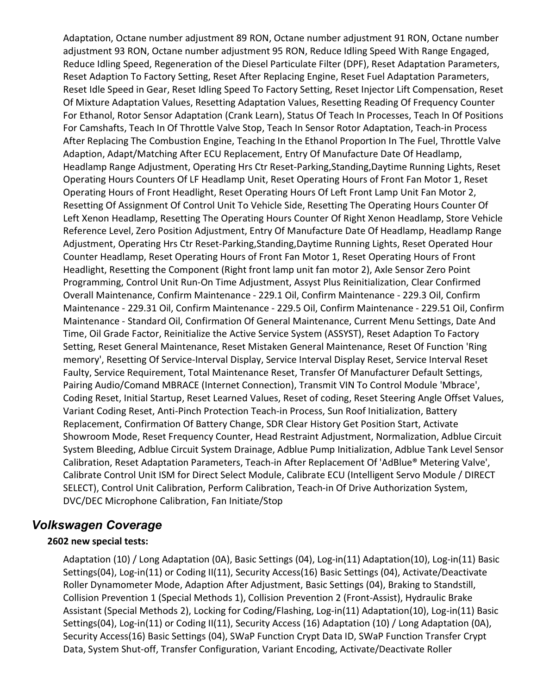Adaptation, Octane number adjustment 89 RON, Octane number adjustment 91 RON, Octane number adjustment 93 RON, Octane number adjustment 95 RON, Reduce Idling Speed With Range Engaged, Reduce Idling Speed, Regeneration of the Diesel Particulate Filter (DPF), Reset Adaptation Parameters, Reset Adaption To Factory Setting, Reset After Replacing Engine, Reset Fuel Adaptation Parameters, Reset Idle Speed in Gear, Reset Idling Speed To Factory Setting, Reset Injector Lift Compensation, Reset Of Mixture Adaptation Values, Resetting Adaptation Values, Resetting Reading Of Frequency Counter For Ethanol, Rotor Sensor Adaptation (Crank Learn), Status Of Teach In Processes, Teach In Of Positions For Camshafts, Teach In Of Throttle Valve Stop, Teach In Sensor Rotor Adaptation, Teach-in Process After Replacing The Combustion Engine, Teaching In the Ethanol Proportion In The Fuel, Throttle Valve Adaption, Adapt/Matching After ECU Replacement, Entry Of Manufacture Date Of Headlamp, Headlamp Range Adjustment, Operating Hrs Ctr Reset-Parking,Standing,Daytime Running Lights, Reset Operating Hours Counters Of LF Headlamp Unit, Reset Operating Hours of Front Fan Motor 1, Reset Operating Hours of Front Headlight, Reset Operating Hours Of Left Front Lamp Unit Fan Motor 2, Resetting Of Assignment Of Control Unit To Vehicle Side, Resetting The Operating Hours Counter Of Left Xenon Headlamp, Resetting The Operating Hours Counter Of Right Xenon Headlamp, Store Vehicle Reference Level, Zero Position Adjustment, Entry Of Manufacture Date Of Headlamp, Headlamp Range Adjustment, Operating Hrs Ctr Reset-Parking,Standing,Daytime Running Lights, Reset Operated Hour Counter Headlamp, Reset Operating Hours of Front Fan Motor 1, Reset Operating Hours of Front Headlight, Resetting the Component (Right front lamp unit fan motor 2), Axle Sensor Zero Point Programming, Control Unit Run-On Time Adjustment, Assyst Plus Reinitialization, Clear Confirmed Overall Maintenance, Confirm Maintenance - 229.1 Oil, Confirm Maintenance - 229.3 Oil, Confirm Maintenance - 229.31 Oil, Confirm Maintenance - 229.5 Oil, Confirm Maintenance - 229.51 Oil, Confirm Maintenance - Standard Oil, Confirmation Of General Maintenance, Current Menu Settings, Date And Time, Oil Grade Factor, Reinitialize the Active Service System (ASSYST), Reset Adaption To Factory Setting, Reset General Maintenance, Reset Mistaken General Maintenance, Reset Of Function 'Ring memory', Resetting Of Service-Interval Display, Service Interval Display Reset, Service Interval Reset Faulty, Service Requirement, Total Maintenance Reset, Transfer Of Manufacturer Default Settings, Pairing Audio/Comand MBRACE (Internet Connection), Transmit VIN To Control Module 'Mbrace', Coding Reset, Initial Startup, Reset Learned Values, Reset of coding, Reset Steering Angle Offset Values, Variant Coding Reset, Anti-Pinch Protection Teach-in Process, Sun Roof Initialization, Battery Replacement, Confirmation Of Battery Change, SDR Clear History Get Position Start, Activate Showroom Mode, Reset Frequency Counter, Head Restraint Adjustment, Normalization, Adblue Circuit System Bleeding, Adblue Circuit System Drainage, Adblue Pump Initialization, Adblue Tank Level Sensor Calibration, Reset Adaptation Parameters, Teach-in After Replacement Of 'AdBlue® Metering Valve', Calibrate Control Unit ISM for Direct Select Module, Calibrate ECU (Intelligent Servo Module / DIRECT SELECT), Control Unit Calibration, Perform Calibration, Teach-in Of Drive Authorization System, DVC/DEC Microphone Calibration, Fan Initiate/Stop

## Volkswagen Coverage

### 2602 new special tests:

Adaptation (10) / Long Adaptation (0A), Basic Settings (04), Log-in(11) Adaptation(10), Log-in(11) Basic Settings(04), Log-in(11) or Coding II(11), Security Access(16) Basic Settings (04), Activate/Deactivate Roller Dynamometer Mode, Adaption After Adjustment, Basic Settings (04), Braking to Standstill, Collision Prevention 1 (Special Methods 1), Collision Prevention 2 (Front-Assist), Hydraulic Brake Assistant (Special Methods 2), Locking for Coding/Flashing, Log-in(11) Adaptation(10), Log-in(11) Basic Settings(04), Log-in(11) or Coding II(11), Security Access (16) Adaptation (10) / Long Adaptation (0A), Security Access(16) Basic Settings (04), SWaP Function Crypt Data ID, SWaP Function Transfer Crypt Data, System Shut-off, Transfer Configuration, Variant Encoding, Activate/Deactivate Roller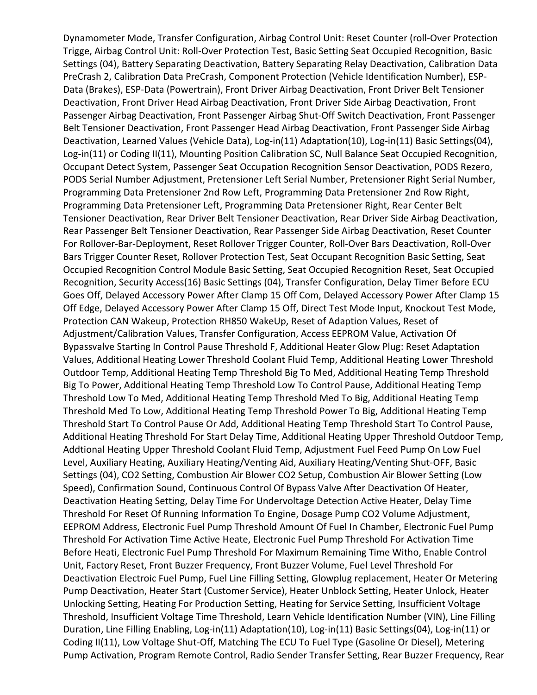Dynamometer Mode, Transfer Configuration, Airbag Control Unit: Reset Counter (roll-Over Protection Trigge, Airbag Control Unit: Roll-Over Protection Test, Basic Setting Seat Occupied Recognition, Basic Settings (04), Battery Separating Deactivation, Battery Separating Relay Deactivation, Calibration Data PreCrash 2, Calibration Data PreCrash, Component Protection (Vehicle Identification Number), ESP-Data (Brakes), ESP-Data (Powertrain), Front Driver Airbag Deactivation, Front Driver Belt Tensioner Deactivation, Front Driver Head Airbag Deactivation, Front Driver Side Airbag Deactivation, Front Passenger Airbag Deactivation, Front Passenger Airbag Shut-Off Switch Deactivation, Front Passenger Belt Tensioner Deactivation, Front Passenger Head Airbag Deactivation, Front Passenger Side Airbag Deactivation, Learned Values (Vehicle Data), Log-in(11) Adaptation(10), Log-in(11) Basic Settings(04), Log-in(11) or Coding II(11), Mounting Position Calibration SC, Null Balance Seat Occupied Recognition, Occupant Detect System, Passenger Seat Occupation Recognition Sensor Deactivation, PODS Rezero, PODS Serial Number Adjustment, Pretensioner Left Serial Number, Pretensioner Right Serial Number, Programming Data Pretensioner 2nd Row Left, Programming Data Pretensioner 2nd Row Right, Programming Data Pretensioner Left, Programming Data Pretensioner Right, Rear Center Belt Tensioner Deactivation, Rear Driver Belt Tensioner Deactivation, Rear Driver Side Airbag Deactivation, Rear Passenger Belt Tensioner Deactivation, Rear Passenger Side Airbag Deactivation, Reset Counter For Rollover-Bar-Deployment, Reset Rollover Trigger Counter, Roll-Over Bars Deactivation, Roll-Over Bars Trigger Counter Reset, Rollover Protection Test, Seat Occupant Recognition Basic Setting, Seat Occupied Recognition Control Module Basic Setting, Seat Occupied Recognition Reset, Seat Occupied Recognition, Security Access(16) Basic Settings (04), Transfer Configuration, Delay Timer Before ECU Goes Off, Delayed Accessory Power After Clamp 15 Off Com, Delayed Accessory Power After Clamp 15 Off Edge, Delayed Accessory Power After Clamp 15 Off, Direct Test Mode Input, Knockout Test Mode, Protection CAN Wakeup, Protection RH850 WakeUp, Reset of Adaption Values, Reset of Adjustment/Calibration Values, Transfer Configuration, Access EEPROM Value, Activation Of Bypassvalve Starting In Control Pause Threshold F, Additional Heater Glow Plug: Reset Adaptation Values, Additional Heating Lower Threshold Coolant Fluid Temp, Additional Heating Lower Threshold Outdoor Temp, Additional Heating Temp Threshold Big To Med, Additional Heating Temp Threshold Big To Power, Additional Heating Temp Threshold Low To Control Pause, Additional Heating Temp Threshold Low To Med, Additional Heating Temp Threshold Med To Big, Additional Heating Temp Threshold Med To Low, Additional Heating Temp Threshold Power To Big, Additional Heating Temp Threshold Start To Control Pause Or Add, Additional Heating Temp Threshold Start To Control Pause, Additional Heating Threshold For Start Delay Time, Additional Heating Upper Threshold Outdoor Temp, Addtional Heating Upper Threshold Coolant Fluid Temp, Adjustment Fuel Feed Pump On Low Fuel Level, Auxiliary Heating, Auxiliary Heating/Venting Aid, Auxiliary Heating/Venting Shut-OFF, Basic Settings (04), CO2 Setting, Combustion Air Blower CO2 Setup, Combustion Air Blower Setting (Low Speed), Confirmation Sound, Continuous Control Of Bypass Valve After Deactivation Of Heater, Deactivation Heating Setting, Delay Time For Undervoltage Detection Active Heater, Delay Time Threshold For Reset Of Running Information To Engine, Dosage Pump CO2 Volume Adjustment, EEPROM Address, Electronic Fuel Pump Threshold Amount Of Fuel In Chamber, Electronic Fuel Pump Threshold For Activation Time Active Heate, Electronic Fuel Pump Threshold For Activation Time Before Heati, Electronic Fuel Pump Threshold For Maximum Remaining Time Witho, Enable Control Unit, Factory Reset, Front Buzzer Frequency, Front Buzzer Volume, Fuel Level Threshold For Deactivation Electroic Fuel Pump, Fuel Line Filling Setting, Glowplug replacement, Heater Or Metering Pump Deactivation, Heater Start (Customer Service), Heater Unblock Setting, Heater Unlock, Heater Unlocking Setting, Heating For Production Setting, Heating for Service Setting, Insufficient Voltage Threshold, Insufficient Voltage Time Threshold, Learn Vehicle Identification Number (VIN), Line Filling Duration, Line Filling Enabling, Log-in(11) Adaptation(10), Log-in(11) Basic Settings(04), Log-in(11) or Coding II(11), Low Voltage Shut-Off, Matching The ECU To Fuel Type (Gasoline Or Diesel), Metering Pump Activation, Program Remote Control, Radio Sender Transfer Setting, Rear Buzzer Frequency, Rear